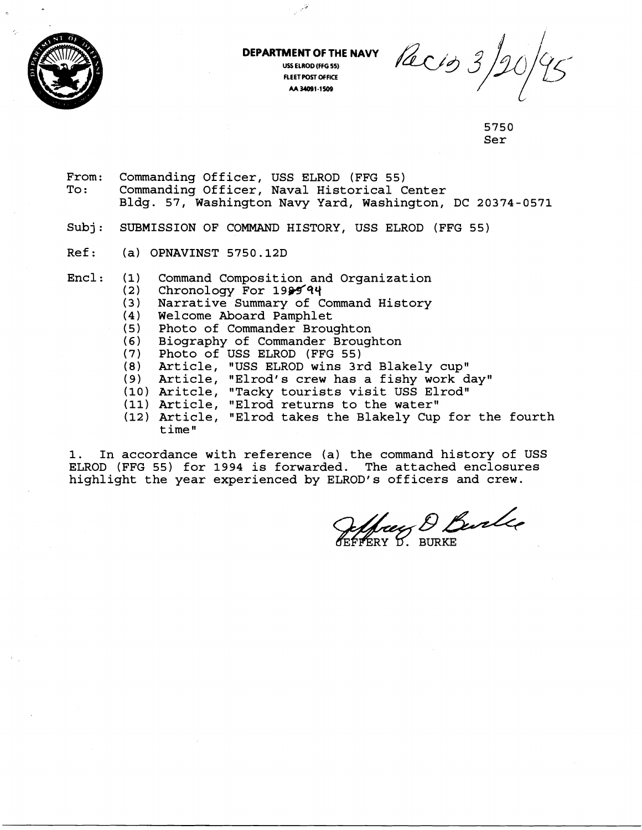

**DEPARTMENT OF THE NAVY USS ELROD (FFG 55) FLEET POST OFFICE M 34091-1509** 

 $\mathcal{P}^{\mathcal{G}'}$ 

Pacio 3,

5750 Ser

- From: Commanding Officer, USS ELROD (FFG 55) Commanding Officer, Naval Historical Center Bldg. 57, Washington Navy Yard, Washington, DC 20374-0571
- Subj: SUBMISSION OF COMMAND HISTORY, USS ELROD (FFG 55)
- Ref: (a) OPNAVINST 5750.12D
- Encl: **(1)**  Command Composition and Organization
	- **(2**  Chronology For  $1999'$
	- $(3)$ Narrative Summary of Command History
	- (4) Welcome Aboard Pamphlet
	- (5) Photo of Commander Broughton
	- **(6)**  Biography of Commander Broughton
	- (7 Photo of USS ELROD (FFG 55)
	- **(8)**  Article, "USS ELROD wins 3rd Blakely cup"
	- (9) Article, "Elrod's crew has a fishy work day"
	- (10) Aritcle, "Tacky tourists visit USS Elrod" 1
	- (11) Article, "Elrod returns to the water"
	- (12) Article, "Elrod takes the Blakely Cup for the fourth time"

1. In accordance with reference (a) the command history of USS ELROD (FFG 55) for 1994 is forwarded. The attached enclosures highlight the year experienced by ELROD's officers and crew.

Seffrey D. Burke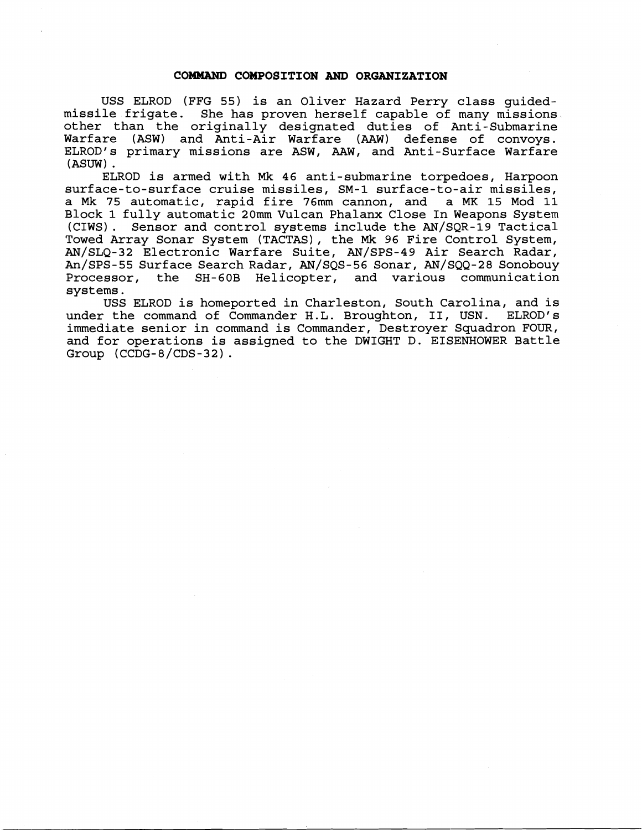## **COMMAND COMPOSITION AND ORGANIZATION**

USS ELROD (FFG 55) is an Oliver Hazard Perry class guidedmissile frigate. She has proven herself capable of many missions other than the originally designated duties of Anti-Submarine Warfare (ASW) and Anti-Air Warfare (AAW) defense of convoys. ELROD's primary missions are ASW, AAW, and Anti-Surface Warfare (ASUW) .

ELROD is armed with Mk 46 anti-submarine torpedoes, Harpoon surface-to-surface cruise missiles, SM-1 surface-to-air missiles, a Mk 75 automatic, rapid fire 76mm cannon, and a MK 15 Mod 11 Block **1** fully automatic 20mm Vulcan Phalanx Close In Weapons System (CIWS). Sensor and control systems include the AN/SQR-19 Tactical Towed Array Sonar System (TACTAS), the Mk 96 Fire Control System, AN/SLQ-32 Electronic Warfare Suite, AN/SPS-49 Air Search Radar, An/SPS-55 Surface Search Radar, AN/SQS-56 Sonar, AN/SQQ-28 Sonobouy Processor, the SH-60B Helicopter, and various communication systems.

USS ELROD is homeported in Charleston, South Carolina, and is<br>the command of Commander H.L. Broughton, II, USN. ELROD's under the command of Commander H.L. Broughton, II, USN. immediate senior in command is Commander, Destroyer Squadron FOUR, and for operations is assigned to the DWIGHT D. EISENHOWER Battle Group (CCDG-8/CDS-32) .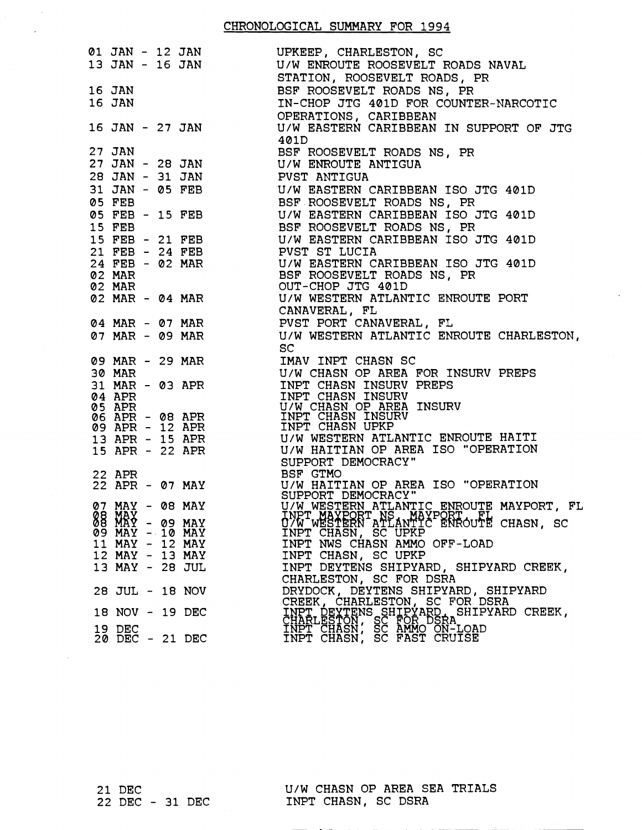| 401D<br>27 JAN<br>27 JAN                         BSF ROOSEVELT ROADS NS, PR<br>27 JAN – 28 JAN              U/W ENROUTE ANTIGUA<br>28 JAN - 31 JAN PVST ANTIGUA<br>31 JAN - 05 FEB<br>05 FEB<br>05 FEB - 15 FEB<br>05 FEB - 15 FEB<br>16 TEB - 15 FEB<br>16 TEB - 15 FEB<br>16 TEB - 15 FEB<br>16 TEB - 15 FEB<br>16 TEB - 15 FEB<br>16 TEB - 15 FEB<br>15 FEB 15 FEB 15 FEB 15 FEB 15 FEB 15 FEB 15 FEB 15 FEB 16 FEB 16 FEB 16 FEB 16 FEB 16 FEB 16 FEB 16 FEB 16 FE<br>21 FEB - 24 FEB<br>24 FEB - 02 MAR<br>24 FEB - 02 MAR<br>26 MAR<br>26 MAR<br>26 MAR<br>27 MAR<br>27 MAR<br>27 MAR<br>27 MAR<br>27 MAR<br>27 MAR<br>27 MAR<br>27 MAR<br>27 MAR<br>27 MAR<br>27 MAR<br>27 MAR<br>27 MAR<br>27 MAR<br>27 MAR<br>27 MAR<br>27 MAR<br>27 MAR<br>27<br>07 MAR - 09 MAR U/W WESTERN ATLANTIC ENROUTE CHARLESTON,<br><b>SC</b><br>$\begin{tabular}{lllllllllllllllllll} $\mathbf{0.9} \text{ MAR} & $\mathbf{1.80} \text{ MAR} & $\mathbf{1.80} \text{ MAR} & $\mathbf{1.80} \text{ MAR} & $\mathbf{1.80} \text{ MAR} & $\mathbf{1.80} \text{ MAR} & $\mathbf{1.80} \text{ MAR} \text{ PER} \text{ D} \text{ R} \text{ R} \text{ B} \text{ D} \text{ R} \text{ R} \text{ B} \text{ D} \text{ R} \text{ R} \text{ D} \text{ R} \text{ R} \text{ D} \text{ R} \text{ R} \text{ D} \text{ R}$<br>SUPPORT DEMOCRACY<br>22 APR - 07 MAY BSF GTMO<br>22 APR - 07 MAY U/W HAITIAN OP AREA ISO "OPERATION<br>27 MAY - 08 MAY U/W WESTERN ATLANTIC ENROUTE MAYPORT, FL<br>INPT.MAYPORT, NS., MAYPORT, FL<br>INPT.MAYPORT, NS., MAYPORT, FL<br>TNPT MAYPORT NS MAYPORT<br>07W_wESTERN ATLANTIC ENROUTE CHASN, SC<br><b>08 MAY - 09 MAY</b><br>INPT CHASN, SC UPKP<br>09 MAY - 10 MAY<br>INPT NWS CHASN AMMO OFF-LOAD<br>11 MAY - 12 MAY<br>12 MAY - 13 MAY<br>INPT CHASN, SC UPKP<br>INPT DEYTENS SHIPYARD, SHIPYARD CREEK,<br>13 MAY - 28 JUL<br>CHARLESTON, SC FOR DSRA<br>DRYDOCK, DEYTENS SHIPYARD, SHIPYARD<br>28 JUL - 18 NOV<br>CREEK, CHARLESTON, SC FOR DSRA<br>INPT DEVTENS SHIPYARD, SHIPYARD CREEK,<br>CHARLESTON, SC FOR DSRA<br>INPT CHASN, SC AMMO ON-LOAD<br>INPT CHASN, SC FAST CRUISE<br>18 NOV - 19 DEC<br>19 DEC<br>20 DEC - 21 DEC |  |  |  |
|-------------------------------------------------------------------------------------------------------------------------------------------------------------------------------------------------------------------------------------------------------------------------------------------------------------------------------------------------------------------------------------------------------------------------------------------------------------------------------------------------------------------------------------------------------------------------------------------------------------------------------------------------------------------------------------------------------------------------------------------------------------------------------------------------------------------------------------------------------------------------------------------------------------------------------------------------------------------------------------------------------------------------------------------------------------------------------------------------------------------------------------------------------------------------------------------------------------------------------------------------------------------------------------------------------------------------------------------------------------------------------------------------------------------------------------------------------------------------------------------------------------------------------------------------------------------------------------------------------------------------------------------------------------------------------------------------------------------------------------------------------------------------------------------------------------------------------------------------------------------------------------------------------------------------------------------------------------------------------------------------------------------------------------------------------------------------------------------------------------------------------------------------|--|--|--|
|                                                                                                                                                                                                                                                                                                                                                                                                                                                                                                                                                                                                                                                                                                                                                                                                                                                                                                                                                                                                                                                                                                                                                                                                                                                                                                                                                                                                                                                                                                                                                                                                                                                                                                                                                                                                                                                                                                                                                                                                                                                                                                                                                 |  |  |  |
|                                                                                                                                                                                                                                                                                                                                                                                                                                                                                                                                                                                                                                                                                                                                                                                                                                                                                                                                                                                                                                                                                                                                                                                                                                                                                                                                                                                                                                                                                                                                                                                                                                                                                                                                                                                                                                                                                                                                                                                                                                                                                                                                                 |  |  |  |
|                                                                                                                                                                                                                                                                                                                                                                                                                                                                                                                                                                                                                                                                                                                                                                                                                                                                                                                                                                                                                                                                                                                                                                                                                                                                                                                                                                                                                                                                                                                                                                                                                                                                                                                                                                                                                                                                                                                                                                                                                                                                                                                                                 |  |  |  |
|                                                                                                                                                                                                                                                                                                                                                                                                                                                                                                                                                                                                                                                                                                                                                                                                                                                                                                                                                                                                                                                                                                                                                                                                                                                                                                                                                                                                                                                                                                                                                                                                                                                                                                                                                                                                                                                                                                                                                                                                                                                                                                                                                 |  |  |  |
|                                                                                                                                                                                                                                                                                                                                                                                                                                                                                                                                                                                                                                                                                                                                                                                                                                                                                                                                                                                                                                                                                                                                                                                                                                                                                                                                                                                                                                                                                                                                                                                                                                                                                                                                                                                                                                                                                                                                                                                                                                                                                                                                                 |  |  |  |
|                                                                                                                                                                                                                                                                                                                                                                                                                                                                                                                                                                                                                                                                                                                                                                                                                                                                                                                                                                                                                                                                                                                                                                                                                                                                                                                                                                                                                                                                                                                                                                                                                                                                                                                                                                                                                                                                                                                                                                                                                                                                                                                                                 |  |  |  |
|                                                                                                                                                                                                                                                                                                                                                                                                                                                                                                                                                                                                                                                                                                                                                                                                                                                                                                                                                                                                                                                                                                                                                                                                                                                                                                                                                                                                                                                                                                                                                                                                                                                                                                                                                                                                                                                                                                                                                                                                                                                                                                                                                 |  |  |  |
|                                                                                                                                                                                                                                                                                                                                                                                                                                                                                                                                                                                                                                                                                                                                                                                                                                                                                                                                                                                                                                                                                                                                                                                                                                                                                                                                                                                                                                                                                                                                                                                                                                                                                                                                                                                                                                                                                                                                                                                                                                                                                                                                                 |  |  |  |
|                                                                                                                                                                                                                                                                                                                                                                                                                                                                                                                                                                                                                                                                                                                                                                                                                                                                                                                                                                                                                                                                                                                                                                                                                                                                                                                                                                                                                                                                                                                                                                                                                                                                                                                                                                                                                                                                                                                                                                                                                                                                                                                                                 |  |  |  |
|                                                                                                                                                                                                                                                                                                                                                                                                                                                                                                                                                                                                                                                                                                                                                                                                                                                                                                                                                                                                                                                                                                                                                                                                                                                                                                                                                                                                                                                                                                                                                                                                                                                                                                                                                                                                                                                                                                                                                                                                                                                                                                                                                 |  |  |  |
|                                                                                                                                                                                                                                                                                                                                                                                                                                                                                                                                                                                                                                                                                                                                                                                                                                                                                                                                                                                                                                                                                                                                                                                                                                                                                                                                                                                                                                                                                                                                                                                                                                                                                                                                                                                                                                                                                                                                                                                                                                                                                                                                                 |  |  |  |
|                                                                                                                                                                                                                                                                                                                                                                                                                                                                                                                                                                                                                                                                                                                                                                                                                                                                                                                                                                                                                                                                                                                                                                                                                                                                                                                                                                                                                                                                                                                                                                                                                                                                                                                                                                                                                                                                                                                                                                                                                                                                                                                                                 |  |  |  |
|                                                                                                                                                                                                                                                                                                                                                                                                                                                                                                                                                                                                                                                                                                                                                                                                                                                                                                                                                                                                                                                                                                                                                                                                                                                                                                                                                                                                                                                                                                                                                                                                                                                                                                                                                                                                                                                                                                                                                                                                                                                                                                                                                 |  |  |  |
|                                                                                                                                                                                                                                                                                                                                                                                                                                                                                                                                                                                                                                                                                                                                                                                                                                                                                                                                                                                                                                                                                                                                                                                                                                                                                                                                                                                                                                                                                                                                                                                                                                                                                                                                                                                                                                                                                                                                                                                                                                                                                                                                                 |  |  |  |
|                                                                                                                                                                                                                                                                                                                                                                                                                                                                                                                                                                                                                                                                                                                                                                                                                                                                                                                                                                                                                                                                                                                                                                                                                                                                                                                                                                                                                                                                                                                                                                                                                                                                                                                                                                                                                                                                                                                                                                                                                                                                                                                                                 |  |  |  |
|                                                                                                                                                                                                                                                                                                                                                                                                                                                                                                                                                                                                                                                                                                                                                                                                                                                                                                                                                                                                                                                                                                                                                                                                                                                                                                                                                                                                                                                                                                                                                                                                                                                                                                                                                                                                                                                                                                                                                                                                                                                                                                                                                 |  |  |  |
|                                                                                                                                                                                                                                                                                                                                                                                                                                                                                                                                                                                                                                                                                                                                                                                                                                                                                                                                                                                                                                                                                                                                                                                                                                                                                                                                                                                                                                                                                                                                                                                                                                                                                                                                                                                                                                                                                                                                                                                                                                                                                                                                                 |  |  |  |
|                                                                                                                                                                                                                                                                                                                                                                                                                                                                                                                                                                                                                                                                                                                                                                                                                                                                                                                                                                                                                                                                                                                                                                                                                                                                                                                                                                                                                                                                                                                                                                                                                                                                                                                                                                                                                                                                                                                                                                                                                                                                                                                                                 |  |  |  |
|                                                                                                                                                                                                                                                                                                                                                                                                                                                                                                                                                                                                                                                                                                                                                                                                                                                                                                                                                                                                                                                                                                                                                                                                                                                                                                                                                                                                                                                                                                                                                                                                                                                                                                                                                                                                                                                                                                                                                                                                                                                                                                                                                 |  |  |  |
|                                                                                                                                                                                                                                                                                                                                                                                                                                                                                                                                                                                                                                                                                                                                                                                                                                                                                                                                                                                                                                                                                                                                                                                                                                                                                                                                                                                                                                                                                                                                                                                                                                                                                                                                                                                                                                                                                                                                                                                                                                                                                                                                                 |  |  |  |
|                                                                                                                                                                                                                                                                                                                                                                                                                                                                                                                                                                                                                                                                                                                                                                                                                                                                                                                                                                                                                                                                                                                                                                                                                                                                                                                                                                                                                                                                                                                                                                                                                                                                                                                                                                                                                                                                                                                                                                                                                                                                                                                                                 |  |  |  |
|                                                                                                                                                                                                                                                                                                                                                                                                                                                                                                                                                                                                                                                                                                                                                                                                                                                                                                                                                                                                                                                                                                                                                                                                                                                                                                                                                                                                                                                                                                                                                                                                                                                                                                                                                                                                                                                                                                                                                                                                                                                                                                                                                 |  |  |  |
|                                                                                                                                                                                                                                                                                                                                                                                                                                                                                                                                                                                                                                                                                                                                                                                                                                                                                                                                                                                                                                                                                                                                                                                                                                                                                                                                                                                                                                                                                                                                                                                                                                                                                                                                                                                                                                                                                                                                                                                                                                                                                                                                                 |  |  |  |
|                                                                                                                                                                                                                                                                                                                                                                                                                                                                                                                                                                                                                                                                                                                                                                                                                                                                                                                                                                                                                                                                                                                                                                                                                                                                                                                                                                                                                                                                                                                                                                                                                                                                                                                                                                                                                                                                                                                                                                                                                                                                                                                                                 |  |  |  |
|                                                                                                                                                                                                                                                                                                                                                                                                                                                                                                                                                                                                                                                                                                                                                                                                                                                                                                                                                                                                                                                                                                                                                                                                                                                                                                                                                                                                                                                                                                                                                                                                                                                                                                                                                                                                                                                                                                                                                                                                                                                                                                                                                 |  |  |  |
|                                                                                                                                                                                                                                                                                                                                                                                                                                                                                                                                                                                                                                                                                                                                                                                                                                                                                                                                                                                                                                                                                                                                                                                                                                                                                                                                                                                                                                                                                                                                                                                                                                                                                                                                                                                                                                                                                                                                                                                                                                                                                                                                                 |  |  |  |
|                                                                                                                                                                                                                                                                                                                                                                                                                                                                                                                                                                                                                                                                                                                                                                                                                                                                                                                                                                                                                                                                                                                                                                                                                                                                                                                                                                                                                                                                                                                                                                                                                                                                                                                                                                                                                                                                                                                                                                                                                                                                                                                                                 |  |  |  |
|                                                                                                                                                                                                                                                                                                                                                                                                                                                                                                                                                                                                                                                                                                                                                                                                                                                                                                                                                                                                                                                                                                                                                                                                                                                                                                                                                                                                                                                                                                                                                                                                                                                                                                                                                                                                                                                                                                                                                                                                                                                                                                                                                 |  |  |  |
|                                                                                                                                                                                                                                                                                                                                                                                                                                                                                                                                                                                                                                                                                                                                                                                                                                                                                                                                                                                                                                                                                                                                                                                                                                                                                                                                                                                                                                                                                                                                                                                                                                                                                                                                                                                                                                                                                                                                                                                                                                                                                                                                                 |  |  |  |
|                                                                                                                                                                                                                                                                                                                                                                                                                                                                                                                                                                                                                                                                                                                                                                                                                                                                                                                                                                                                                                                                                                                                                                                                                                                                                                                                                                                                                                                                                                                                                                                                                                                                                                                                                                                                                                                                                                                                                                                                                                                                                                                                                 |  |  |  |
|                                                                                                                                                                                                                                                                                                                                                                                                                                                                                                                                                                                                                                                                                                                                                                                                                                                                                                                                                                                                                                                                                                                                                                                                                                                                                                                                                                                                                                                                                                                                                                                                                                                                                                                                                                                                                                                                                                                                                                                                                                                                                                                                                 |  |  |  |
|                                                                                                                                                                                                                                                                                                                                                                                                                                                                                                                                                                                                                                                                                                                                                                                                                                                                                                                                                                                                                                                                                                                                                                                                                                                                                                                                                                                                                                                                                                                                                                                                                                                                                                                                                                                                                                                                                                                                                                                                                                                                                                                                                 |  |  |  |
|                                                                                                                                                                                                                                                                                                                                                                                                                                                                                                                                                                                                                                                                                                                                                                                                                                                                                                                                                                                                                                                                                                                                                                                                                                                                                                                                                                                                                                                                                                                                                                                                                                                                                                                                                                                                                                                                                                                                                                                                                                                                                                                                                 |  |  |  |
|                                                                                                                                                                                                                                                                                                                                                                                                                                                                                                                                                                                                                                                                                                                                                                                                                                                                                                                                                                                                                                                                                                                                                                                                                                                                                                                                                                                                                                                                                                                                                                                                                                                                                                                                                                                                                                                                                                                                                                                                                                                                                                                                                 |  |  |  |
|                                                                                                                                                                                                                                                                                                                                                                                                                                                                                                                                                                                                                                                                                                                                                                                                                                                                                                                                                                                                                                                                                                                                                                                                                                                                                                                                                                                                                                                                                                                                                                                                                                                                                                                                                                                                                                                                                                                                                                                                                                                                                                                                                 |  |  |  |
|                                                                                                                                                                                                                                                                                                                                                                                                                                                                                                                                                                                                                                                                                                                                                                                                                                                                                                                                                                                                                                                                                                                                                                                                                                                                                                                                                                                                                                                                                                                                                                                                                                                                                                                                                                                                                                                                                                                                                                                                                                                                                                                                                 |  |  |  |
|                                                                                                                                                                                                                                                                                                                                                                                                                                                                                                                                                                                                                                                                                                                                                                                                                                                                                                                                                                                                                                                                                                                                                                                                                                                                                                                                                                                                                                                                                                                                                                                                                                                                                                                                                                                                                                                                                                                                                                                                                                                                                                                                                 |  |  |  |
|                                                                                                                                                                                                                                                                                                                                                                                                                                                                                                                                                                                                                                                                                                                                                                                                                                                                                                                                                                                                                                                                                                                                                                                                                                                                                                                                                                                                                                                                                                                                                                                                                                                                                                                                                                                                                                                                                                                                                                                                                                                                                                                                                 |  |  |  |
|                                                                                                                                                                                                                                                                                                                                                                                                                                                                                                                                                                                                                                                                                                                                                                                                                                                                                                                                                                                                                                                                                                                                                                                                                                                                                                                                                                                                                                                                                                                                                                                                                                                                                                                                                                                                                                                                                                                                                                                                                                                                                                                                                 |  |  |  |
|                                                                                                                                                                                                                                                                                                                                                                                                                                                                                                                                                                                                                                                                                                                                                                                                                                                                                                                                                                                                                                                                                                                                                                                                                                                                                                                                                                                                                                                                                                                                                                                                                                                                                                                                                                                                                                                                                                                                                                                                                                                                                                                                                 |  |  |  |
|                                                                                                                                                                                                                                                                                                                                                                                                                                                                                                                                                                                                                                                                                                                                                                                                                                                                                                                                                                                                                                                                                                                                                                                                                                                                                                                                                                                                                                                                                                                                                                                                                                                                                                                                                                                                                                                                                                                                                                                                                                                                                                                                                 |  |  |  |
|                                                                                                                                                                                                                                                                                                                                                                                                                                                                                                                                                                                                                                                                                                                                                                                                                                                                                                                                                                                                                                                                                                                                                                                                                                                                                                                                                                                                                                                                                                                                                                                                                                                                                                                                                                                                                                                                                                                                                                                                                                                                                                                                                 |  |  |  |
|                                                                                                                                                                                                                                                                                                                                                                                                                                                                                                                                                                                                                                                                                                                                                                                                                                                                                                                                                                                                                                                                                                                                                                                                                                                                                                                                                                                                                                                                                                                                                                                                                                                                                                                                                                                                                                                                                                                                                                                                                                                                                                                                                 |  |  |  |
|                                                                                                                                                                                                                                                                                                                                                                                                                                                                                                                                                                                                                                                                                                                                                                                                                                                                                                                                                                                                                                                                                                                                                                                                                                                                                                                                                                                                                                                                                                                                                                                                                                                                                                                                                                                                                                                                                                                                                                                                                                                                                                                                                 |  |  |  |

**21** DEC **<sup>22</sup>**DEC - **31** DEC

 $\mathcal{A}^{\mathcal{A}}$ 

> U/W CHASN OP AREA SEA TRIALS INPT CHASN, SC DSRA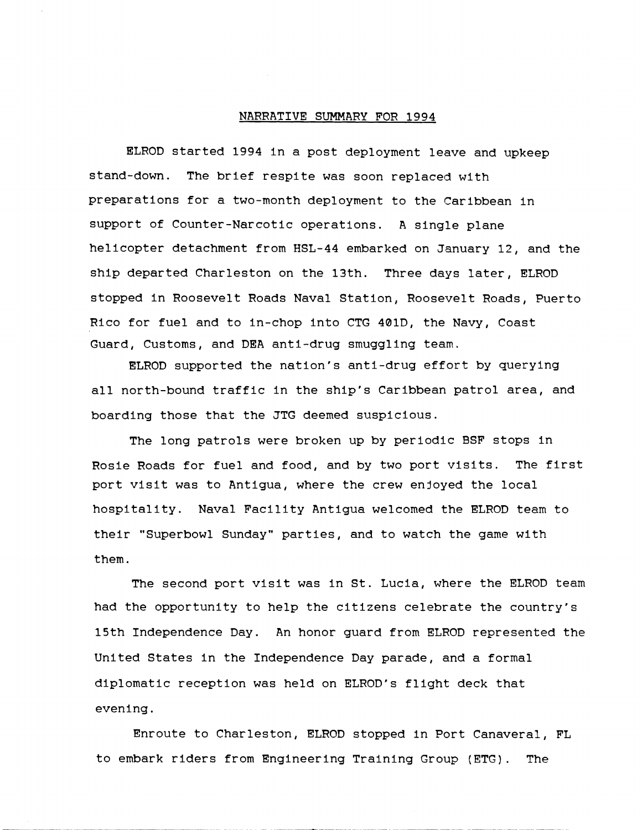## NARRATIVE SUMMARY FOR 1994

ELROD started 1994 in a post deployment leave and upkeep stand-down. The brief respite was soon replaced with preparations for a two-month deployment to the Caribbean in support of Counter-Narcotic operations. A single plane helicopter detachment from HSL-44 embarked on January 12, and the ship departed Charleston on the 13th. Three days later, ELROD stopped In Roosevelt Roads Naval Station, Roosevelt Roads, Puerto Rlco for fuel and to in-chop into CTG 401D, the Navy, Coast Guard, Customs, and DEA anti-drug smuggling team.

ELROD supported the nation's anti-drug effort by querying all north-bound traffic in the ship's Caribbean patrol area, and boarding those that the JTG deemed suspicious.

The long patrols were broken up by periodic BSF stops in Rosle Roads for fuel and food, and by two port visits. The first port visit was to Antigua, where the crew enjoyed the local hospitality. Naval Facility Antigua welcomed the ELROD team to their "Superbowl Sunday" parties, and to watch the game with them.

The second port visit was in St. Lucia, where the ELROD team had the opportunity to help the citizens celebrate the country's 15th Independence Day. An honor guard from ELROD represented the United States in the Independence Day parade, and a formal diplomatic reception was held on ELROD's flight deck that evening.

Enroute to Charleston, ELROD stopped in Port Canaveral, FL to embark riders from Engineering Training Group (ETG). The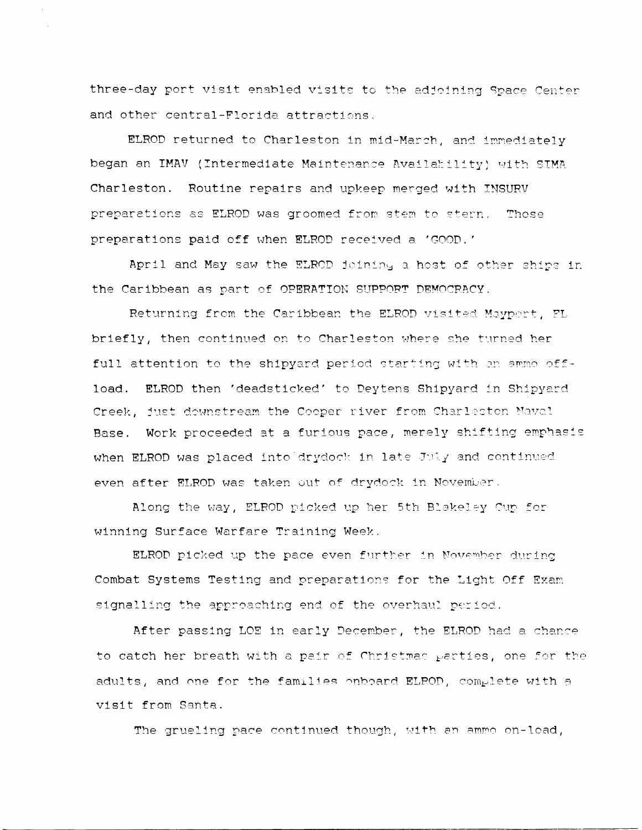three-day port visit enabled visits to the adjoining Space Center and other central-Florida attractions.

ELROD returned to Charleston in mid-March, and immediately began an IMAV (Intermediate Maintenance Availability) with SIMA Charleston. Routine repairs and upkeep merged with INSURV preparations as ELROD was groomed from stem to stern. Those preparations paid off when ELROD received a 'GOOD.'

April and May saw the ELROD joining a host of other ships in the Caribbean as part of OPERATION SUPPORT DEMOCRACY.

Returning from the Caribbean the ELROD visited Maypert, FL briefly, then continued on to Charleston where she turned her full attention to the shipyard period starting with an ammo offload. ELROD then 'deadsticked' to Deytens Shipyard in Shipyard Creek, just downstream the Cooper river from Charleston Maval Base. Work proceeded at a furious pace, merely shifting emphasis when ELROD was placed into drydock in late July and continued even after ELROD was taken out of drydock in November.

Along the way, ELROD picked up her 5th Blakeley Cup for winning Surface Warfare Training Week.

ELROD picked up the pace even further in November during Combat Systems Testing and preparations for the Light Off Exam signalling the approaching end of the overhaul period.

After passing LOE in early December, the ELROD had a chance to catch her breath with a pair of Christmas parties, one for the adults, and one for the families onboard ELROD, complete with a visit from Santa.

The grueling pace continued though, with an ammo on-load,